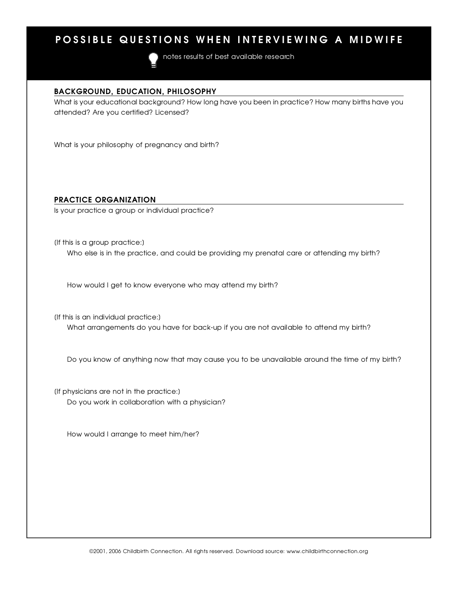## POSSIBLE QUESTIONS WHEN INTERVIEWING A MIDWIFE

notes results of best available research

<u>Background, Bookhoun, Philosophy</u> what is your education background? How long have you been in practice? How many births have you attended? Are you certified? Licensed?

What is your philosophy of pregnancy and birth?

<u>Practice organization</u> Is your practice a group or individual practice?

(If this is a group practice:) Who else is in the practice, and could be providing my prenatal care or attending my birth?

How would I get to know everyone who may attend my birth?

(If this is an individual practice:) What arrangements do you have for back-up if you are not available to attend my birth?

Do you know of anything now that may cause you to be unavailable around the time of my birth?

[If physicians are not in the practice:] Do you work in collaboration with a physician?

How would I arrange to meet him/her?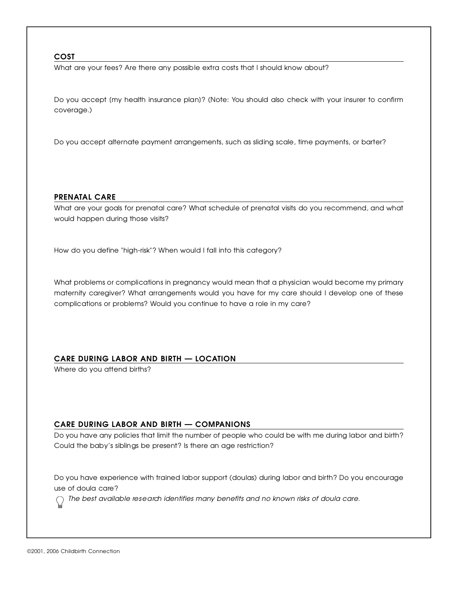$\frac{2000}{1000}$ What are your fees? Are more any possible extra costs that I should know about?

Do you accept [my health insurance plan]? (Note: You should also check with your insurer to confirm coverage.)

Do you accept alternate payment arrangements, such as sliding scale, time payments, or barter?

<u>P R E N ATAL CARE</u> What are your goals for prenatal care? What schedule of prenatal visits do you recommend, and what would happen during those visits?

How do you define "high-risk"? When would I fall into this category?

What problems or complications in pregnancy would mean that a physician would become my primary maternity caregiver? What arrangements would you have for my care should I develop one of moto complications or problems? Would you continue to have a role in my care ?

### CARE DURING LABOR AND BIRTH - LOCATION

Where do you attend births?

<u>CARE DURING BIRGH AND BIRTH — COMPANIONS</u> Do you have any policies that limit the number of people who could be with me during labor and birth? Could the baby's siblings be present? Is there an age restriction?

Do you have experience with trained labor support (doulas) during labor and birth? Do you encourage

 $\frac{1}{2}$ *The best available re s e a rch identifies many benefits and no known risks of doula care .*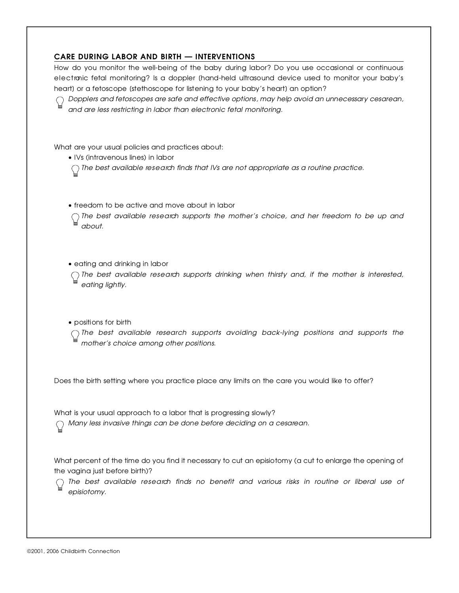**CARE DURING LABOR AND BIRTH — INTERVENTIONS**<br>How do you monitor the well-being of the baby during labor? Do you use occasional or continuous How do you monitor the well-being of the baby during labor? Do you use occasional or continuous e l e c t ronic fetal monitoring? Is a doppler [hand-held ultrasound device used to monitor your baby's

 $h_{\alpha}$  or a fetoscope (stem cooperation babyes for  $\alpha$  ) our baby's heart) an option? *Dopplers and fetoscopes are safe and effective options, may help avoid an unnecessary cesare a n , and are less restricting in labor than electronic fetal monitoring.*

What are your usual policies and practices about:<br>• IVs (intravenous lines) in labor

 $\sim$  IVs (intravenous lines) in labor *The best available re s e a rch finds that IVs are not appropriate as a routine practice.*

 $\sim$  f reduction to be active and move about in labor.

*The best available research supports the momen's* choice, and her *freedom* to be ap and *a b o u t .*

• eating and drinking in labor

 $\bigcap$  The best available research supports drinking when thirsty and, if the mother is interested, *eating lightly.*

 $\frac{1}{2}$   $\frac{1}{2}$   $\frac{1}{2}$   $\frac{1}{2}$   $\frac{1}{2}$   $\frac{1}{2}$   $\frac{1}{2}$   $\frac{1}{2}$   $\frac{1}{2}$   $\frac{1}{2}$   $\frac{1}{2}$   $\frac{1}{2}$   $\frac{1}{2}$   $\frac{1}{2}$   $\frac{1}{2}$   $\frac{1}{2}$   $\frac{1}{2}$   $\frac{1}{2}$   $\frac{1}{2}$   $\frac{1}{2}$   $\frac{1}{2}$   $\frac{1}{2}$ 

*The best available re s e a rch supports avoiding back-lying positions and supports the mother's choice among other positions.*

Does the birth setting where you practice place any limits on the care you would like to offer?

what is your usual approach to a labor that is progressing slowly?

*Many less invasive things can be done before deciding on a cesare a n .*

What percent of the time do you find it necessary to cut an episiotomy (a cut to enlarge the opening of<br>the vagina just before birth)?

 $t \approx t \approx 0.05$  is the value of  $t \approx 0.005$ *The best available re s e a rch finds no benefit and various risks in routine or liberal use of*  $e$ *p* is *i* otomy.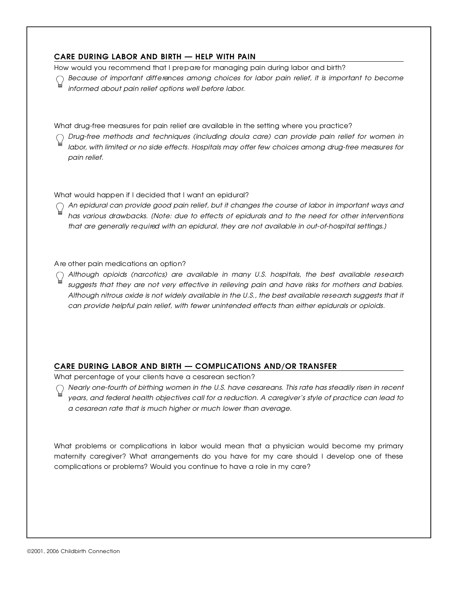**CARE DURING LABOR AND BIRTH — HELP WITH PAIN**<br>How would you recommend that I prepare for managing pain during labor and birth?

How would you recommend that I prep alonet managing pain during labor and birth? *Because of important diff e rences among choices for labor pain relief, it is important to become i n f o rmed about pain relief options well before labor.*

What drug-free measures for pain relief are available in the setting where you practice?

*D r u g - f ree methods and techniques (including doula care) can provide pain relief for women in l a b o r, with limited or no side effects. Hospitals may offer few choices among drug-free measures for* pain relief.

What would happen if I decided that I want an epidural?<br>  $\bigcap$  An epidural can provide good pain relief, but it changes the course of labor in important ways and *An epidural can provide good pain relief, but it changes the course of labor in important ways and has various drawbacks. [Note: due to effects of epidurals and to the need for other interventions that are generally re q u i red with an epidural, they are not available in out-of-hospital settings.]*

A re other pain medications an option?<br>  $\bigcap$  Although opioids (narcotics) are available in many U.S. hospitals, the best available research *Although opioids (narcotics) are available in many U.S. hospitals, the best available re s e a rch suggests that they are not very effective in relieving pain and have risks for mothers and babies. Although nitrous oxide is not widely available in the U.S., the best available re s e a rch suggests that it can provide helpful pain relief, with fewer unintended effects than either epidurals or opioids.*

# **CARE DURING LABOR AND BIRTH — COMPLICATIONS AND/OR TRANSFER**<br>What percentage of your clients have a cesarean section?

What percentage of your clients have a cesarean section?

*Nearly one-fourth of birthing women in the U.S. have cesareans. This rate has steadily risen in re c e n t years, and federal health objectives call for a reduction. A caregiver's style of practice can lead to a cesarean rate that is much higher or much lower than average.*

What problems or complications in labor would mean that a physician would become my primary<br>maternity caregiver? What arrangements do you have for my care should I develop one of these maternity caregiver? What arrangements do you have for my care should I develop one of moto complications or problems? Would you continue to have a role in my care ?